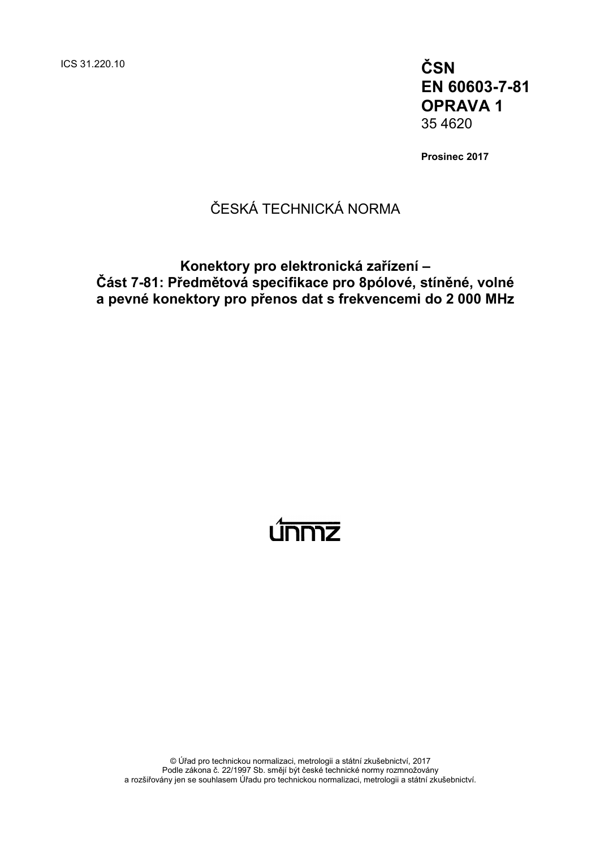ICS 31.220.10 **ČSN**

**EN 60603-7-81 OPRAVA 1** 35 4620

**Prosinec 2017**

## ČESKÁ TECHNICKÁ NORMA

## **Konektory pro elektronická zařízení – Část 7-81: Předmětová specifikace pro 8pólové, stíněné, volné a pevné konektory pro přenos dat s frekvencemi do 2 000 MHz**

# <u>únmz</u>

© Úřad pro technickou normalizaci, metrologii a státní zkušebnictví, 2017 Podle zákona č. 22/1997 Sb. smějí být české technické normy rozmnožovány a rozšiřovány jen se souhlasem Úřadu pro technickou normalizaci, metrologii a státní zkušebnictví.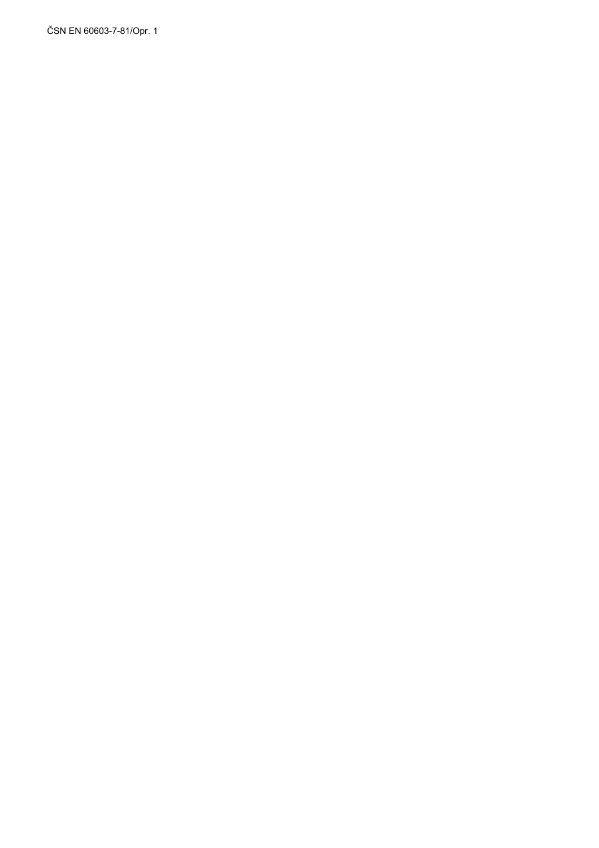ČSN EN 60603-7-81/Opr. 1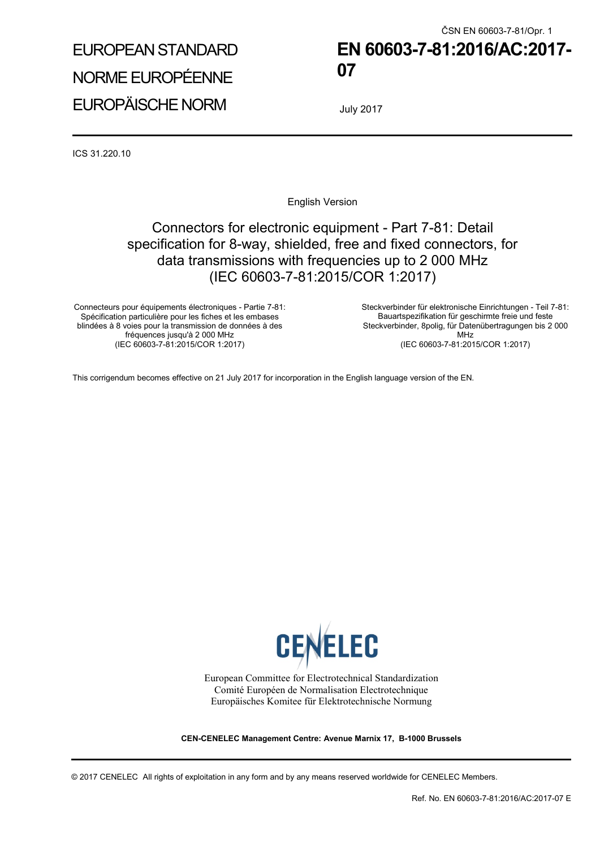# EUROPEAN STANDARD NORME EUROPÉENNE EUROPÄISCHE NORM

# **EN 60603-7-81:2016/AC:2017- 07**

July 2017

ICS 31.220.10

English Version

### Connectors for electronic equipment - Part 7-81: Detail specification for 8-way, shielded, free and fixed connectors, for data transmissions with frequencies up to 2 000 MHz (IEC 60603-7-81:2015/COR 1:2017)

Connecteurs pour équipements électroniques - Partie 7-81: Spécification particulière pour les fiches et les embases blindées à 8 voies pour la transmission de données à des fréquences jusqu'à 2 000 MHz (IEC 60603-7-81:2015/COR 1:2017)

 Steckverbinder für elektronische Einrichtungen - Teil 7-81: Bauartspezifikation für geschirmte freie und feste Steckverbinder, 8polig, für Datenübertragungen bis 2 000 MHz

(IEC 60603-7-81:2015/COR 1:2017)

This corrigendum becomes effective on 21 July 2017 for incorporation in the English language version of the EN.



European Committee for Electrotechnical Standardization Comité Européen de Normalisation Electrotechnique Europäisches Komitee für Elektrotechnische Normung

**CEN-CENELEC Management Centre: Avenue Marnix 17, B-1000 Brussels** 

© 2017 CENELEC All rights of exploitation in any form and by any means reserved worldwide for CENELEC Members.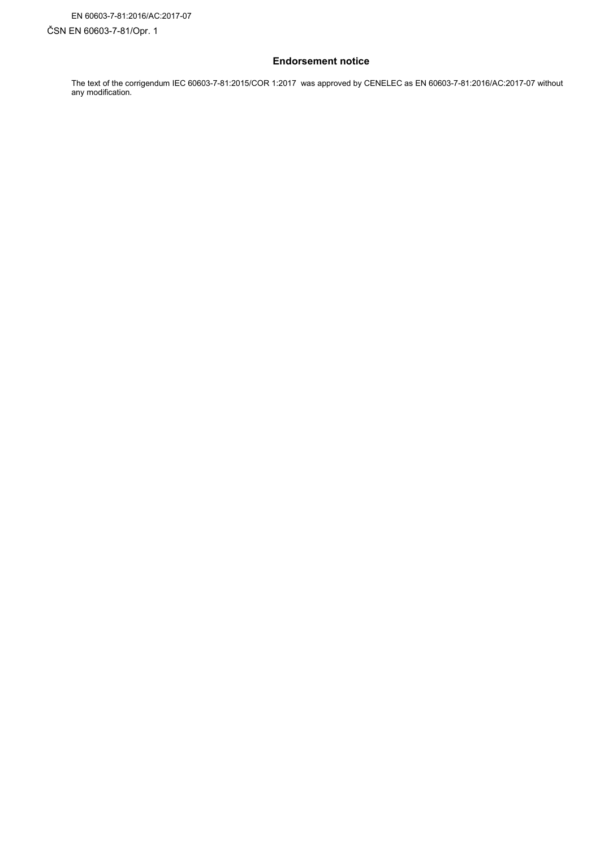EN 60603-7-81:2016/AC:2017-07

ČSN EN 60603-7-81/Opr. 1

#### **Endorsement notice**

The text of the corrigendum IEC 60603-7-81:2015/COR 1:2017 was approved by CENELEC as EN 60603-7-81:2016/AC:2017-07 without any modification.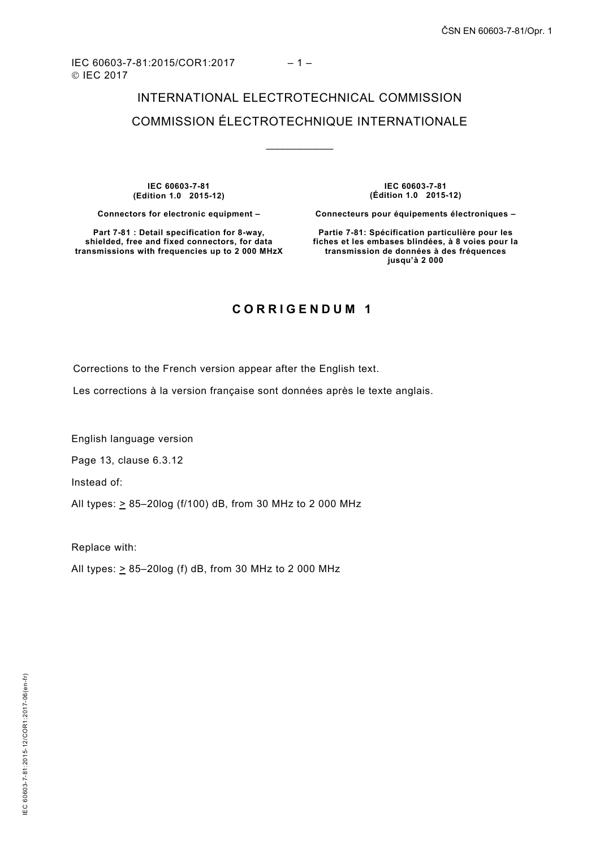IEC 60603-7-81:2015/COR1:2017 – 1 – © IEC 2017

## INTERNATIONAL ELECTROTECHNICAL COMMISSION COMMISSION ÉLECTROTECHNIQUE INTERNATIONALE

 $\overline{\phantom{a}}$  . The set of the set of the set of the set of the set of the set of the set of the set of the set of the set of the set of the set of the set of the set of the set of the set of the set of the set of the set o

**IEC 60603-7-81 (Edition 1.0 2015-12)** 

**Connectors for electronic equipment –** 

**IEC 60603-7-81 (Édition 1.0 2015-12)** 

**Connecteurs pour équipements électroniques –** 

**Part 7-81 : Detail specification for 8-way, shielded, free and fixed connectors, for data transmissions with frequencies up to 2 000 MHzX** 

**Partie 7-81: Spécification particulière pour les fiches et les embases blindées, à 8 voies pour la transmission de données à des fréquences jusqu'à 2 000** 

#### **CORRIGENDUM 1**

Corrections to the French version appear after the English text.

Les corrections à la version française sont données après le texte anglais.

English language version

Page 13, clause 6.3.12

Instead of:

All types:  $\geq 85-20$ log (f/100) dB, from 30 MHz to 2 000 MHz

Replace with:

All types: > 85–20log (f) dB, from 30 MHz to 2 000 MHz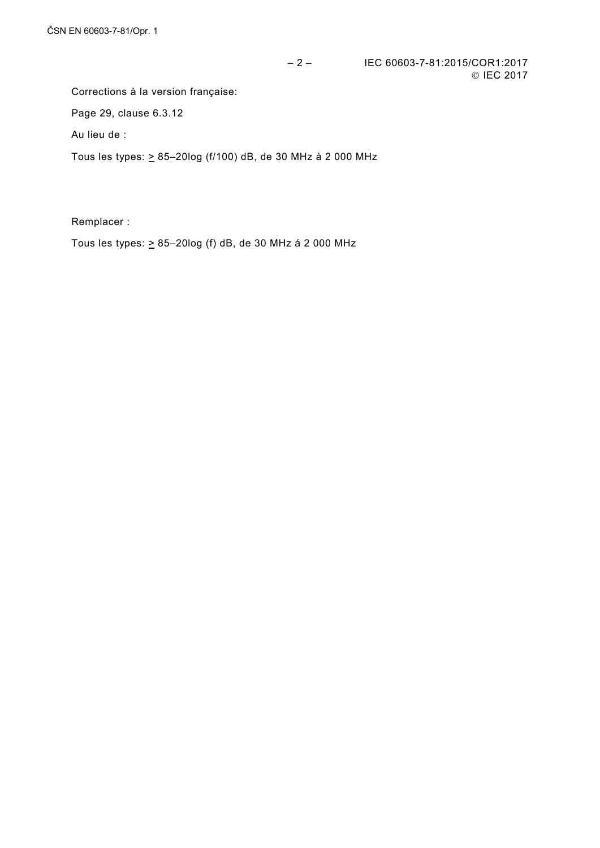Corrections à la version française:

Page 29, clause 6.3.12

Au lieu de :

Tous les types:  $\geq 85-20$ log (f/100) dB, de 30 MHz à 2 000 MHz

Remplacer :

Tous les types:  $\geq$  85-20log (f) dB, de 30 MHz á 2 000 MHz